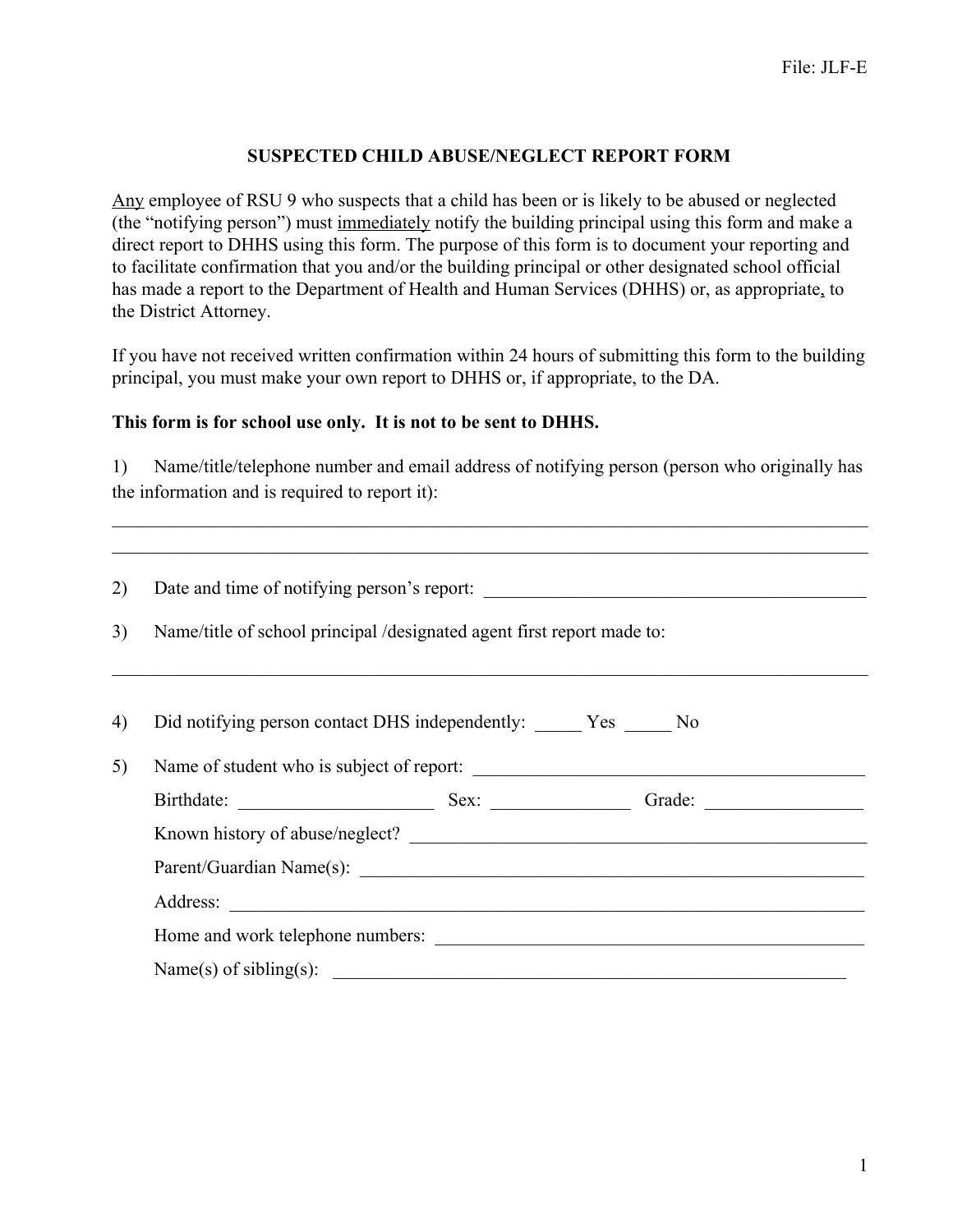## **SUSPECTED CHILD ABUSE/NEGLECT REPORT FORM**

Any employee of RSU 9 who suspects that a child has been or is likely to be abused or neglected (the "notifying person") must immediately notify the building principal using this form and make a direct report to DHHS using this form. The purpose of this form is to document your reporting and to facilitate confirmation that you and/or the building principal or other designated school official has made a report to the Department of Health and Human Services (DHHS) or, as appropriate, to the District Attorney.

If you have not received written confirmation within 24 hours of submitting this form to the building principal, you must make your own report to DHHS or, if appropriate, to the DA.

## **This form is for school use only. It is not to be sent to DHHS.**

1) Name/title/telephone number and email address of notifying person (person who originally has the information and is required to report it):

 $\mathcal{L}_\mathcal{L} = \{ \mathcal{L}_\mathcal{L} = \{ \mathcal{L}_\mathcal{L} = \{ \mathcal{L}_\mathcal{L} = \{ \mathcal{L}_\mathcal{L} = \{ \mathcal{L}_\mathcal{L} = \{ \mathcal{L}_\mathcal{L} = \{ \mathcal{L}_\mathcal{L} = \{ \mathcal{L}_\mathcal{L} = \{ \mathcal{L}_\mathcal{L} = \{ \mathcal{L}_\mathcal{L} = \{ \mathcal{L}_\mathcal{L} = \{ \mathcal{L}_\mathcal{L} = \{ \mathcal{L}_\mathcal{L} = \{ \mathcal{L}_\mathcal{$ 

| 2) | Name/title of school principal /designated agent first report made to: |  |  |  |
|----|------------------------------------------------------------------------|--|--|--|
| 3) |                                                                        |  |  |  |
|    |                                                                        |  |  |  |
| 4) | Did notifying person contact DHS independently: _______ Yes ______ No  |  |  |  |
| 5) | Name of student who is subject of report:                              |  |  |  |
|    |                                                                        |  |  |  |
|    | Known history of abuse/neglect?                                        |  |  |  |
|    |                                                                        |  |  |  |
|    |                                                                        |  |  |  |
|    |                                                                        |  |  |  |
|    | Name(s) of sibling(s): $\qquad \qquad$                                 |  |  |  |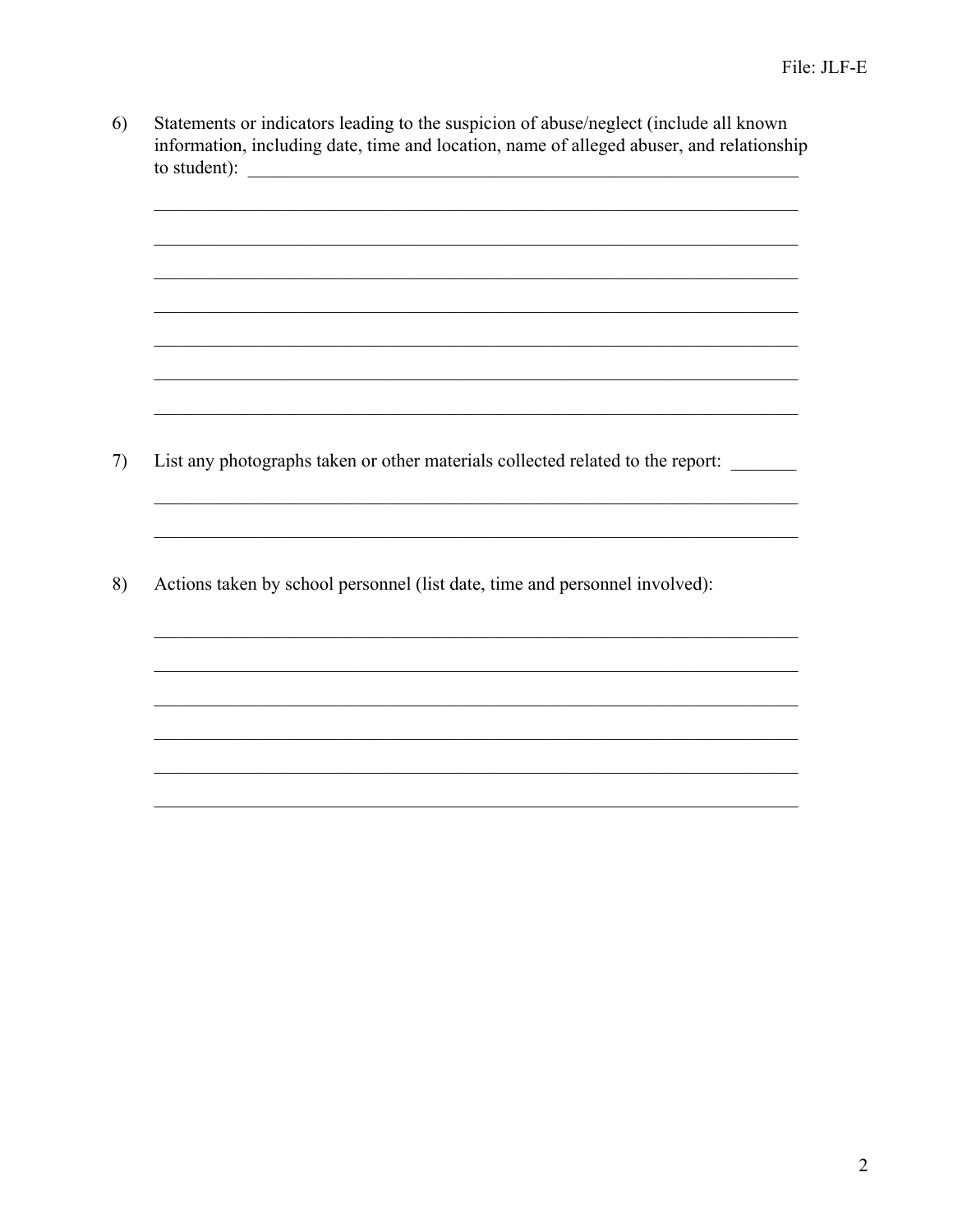$6)$ Statements or indicators leading to the suspicion of abuse/neglect (include all known information, including date, time and location, name of alleged abuser, and relationship to student):  $\overline{\qquad \qquad }$ 

List any photographs taken or other materials collected related to the report: 7)

<u> 1999 - Johann John Stone, Amerikaansk politiker (\* 1958)</u>

<u> 1989 - Johann Stoff, amerikansk politiker (d. 1989)</u>

Actions taken by school personnel (list date, time and personnel involved): 8)